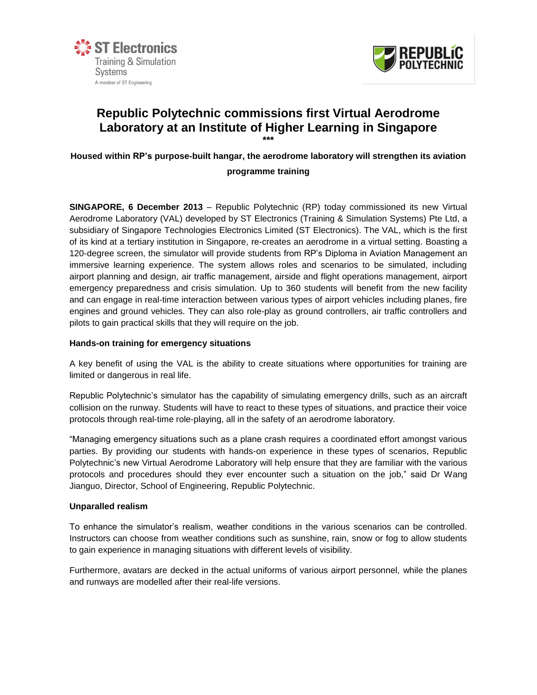



# **Republic Polytechnic commissions first Virtual Aerodrome Laboratory at an Institute of Higher Learning in Singapore \*\*\***

# **Housed within RP's purpose-built hangar, the aerodrome laboratory will strengthen its aviation programme training**

**SINGAPORE, 6 December 2013** – Republic Polytechnic (RP) today commissioned its new Virtual Aerodrome Laboratory (VAL) developed by ST Electronics (Training & Simulation Systems) Pte Ltd, a subsidiary of Singapore Technologies Electronics Limited (ST Electronics). The VAL, which is the first of its kind at a tertiary institution in Singapore, re-creates an aerodrome in a virtual setting. Boasting a 120-degree screen, the simulator will provide students from RP's Diploma in Aviation Management an immersive learning experience. The system allows roles and scenarios to be simulated, including airport planning and design, air traffic management, airside and flight operations management, airport emergency preparedness and crisis simulation. Up to 360 students will benefit from the new facility and can engage in real-time interaction between various types of airport vehicles including planes, fire engines and ground vehicles. They can also role-play as ground controllers, air traffic controllers and pilots to gain practical skills that they will require on the job.

# **Hands-on training for emergency situations**

A key benefit of using the VAL is the ability to create situations where opportunities for training are limited or dangerous in real life.

Republic Polytechnic's simulator has the capability of simulating emergency drills, such as an aircraft collision on the runway. Students will have to react to these types of situations, and practice their voice protocols through real-time role-playing, all in the safety of an aerodrome laboratory.

"Managing emergency situations such as a plane crash requires a coordinated effort amongst various parties. By providing our students with hands-on experience in these types of scenarios, Republic Polytechnic's new Virtual Aerodrome Laboratory will help ensure that they are familiar with the various protocols and procedures should they ever encounter such a situation on the job," said Dr Wang Jianguo, Director, School of Engineering, Republic Polytechnic.

## **Unparalled realism**

To enhance the simulator's realism, weather conditions in the various scenarios can be controlled. Instructors can choose from weather conditions such as sunshine, rain, snow or fog to allow students to gain experience in managing situations with different levels of visibility.

Furthermore, avatars are decked in the actual uniforms of various airport personnel, while the planes and runways are modelled after their real-life versions.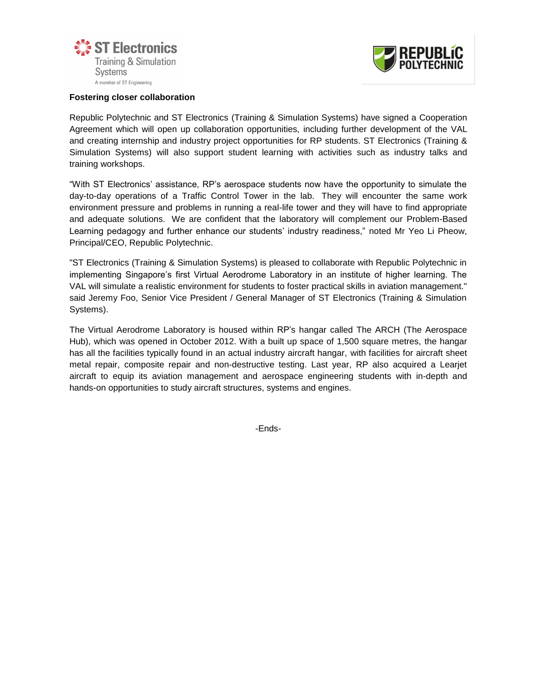



#### **Fostering closer collaboration**

Republic Polytechnic and ST Electronics (Training & Simulation Systems) have signed a Cooperation Agreement which will open up collaboration opportunities, including further development of the VAL and creating internship and industry project opportunities for RP students. ST Electronics (Training & Simulation Systems) will also support student learning with activities such as industry talks and training workshops.

"With ST Electronics' assistance, RP's aerospace students now have the opportunity to simulate the day-to-day operations of a Traffic Control Tower in the lab. They will encounter the same work environment pressure and problems in running a real-life tower and they will have to find appropriate and adequate solutions. We are confident that the laboratory will complement our Problem-Based Learning pedagogy and further enhance our students' industry readiness," noted Mr Yeo Li Pheow, Principal/CEO, Republic Polytechnic.

"ST Electronics (Training & Simulation Systems) is pleased to collaborate with Republic Polytechnic in implementing Singapore's first Virtual Aerodrome Laboratory in an institute of higher learning. The VAL will simulate a realistic environment for students to foster practical skills in aviation management." said Jeremy Foo, Senior Vice President / General Manager of ST Electronics (Training & Simulation Systems).

The Virtual Aerodrome Laboratory is housed within RP's hangar called The ARCH (The Aerospace Hub), which was opened in October 2012. With a built up space of 1,500 square metres, the hangar has all the facilities typically found in an actual industry aircraft hangar, with facilities for aircraft sheet metal repair, composite repair and non-destructive testing. Last year, RP also acquired a Learjet aircraft to equip its aviation management and aerospace engineering students with in-depth and hands-on opportunities to study aircraft structures, systems and engines.

-Ends-